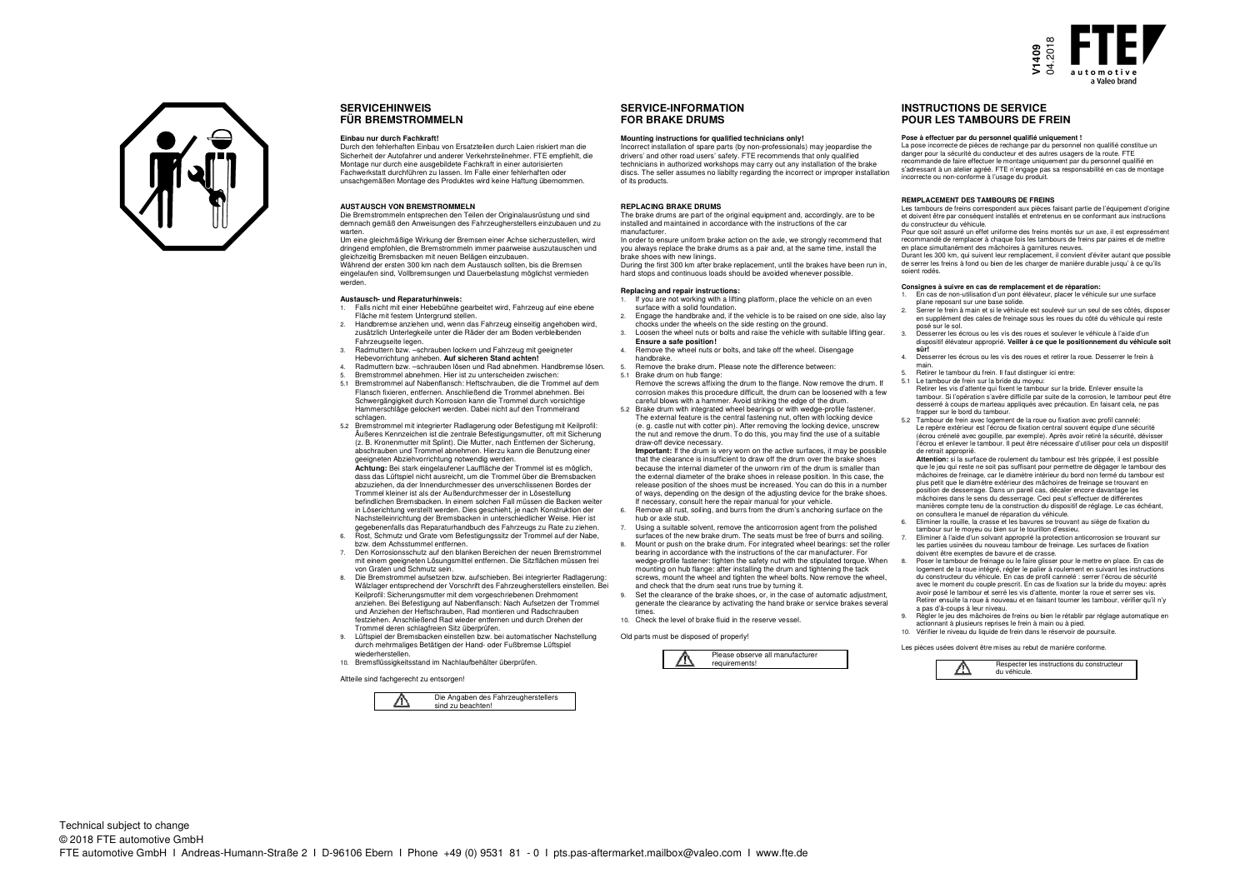



## **SERVICEHINWEISFÜR BREMSTROMMELN**

#### **Einbau nur durch Fachkraft!**

 Durch den fehlerhaften Einbau von Ersatzteilen durch Laien riskiert man die Sicherheit der Autofahrer und anderer Verkehrsteilnehmer. FTE empfiehlt, die Montage nur durch eine ausgebildete Fachkraft in einer autorisierten Fachwerkstatt durchführen zu lassen. Im Falle einer fehlerhaften oder unsachgemäßen Montage des Produktes wird keine Haftung übernommen.

### **AUSTAUSCH VON BREMSTROMMELN**

 Die Bremstrommeln entsprechen den Teilen der Originalausrüstung und sind demnach gemäß den Anweisungen des Fahrzeugherstellers einzubauen und zu warten.

 Um eine gleichmäßige Wirkung der Bremsen einer Achse sicherzustellen, wird dringend empfohlen, die Bremstrommeln immer paarweise auszutauschen und gleichzeitig Bremsbacken mit neuen Belägen einzubauen. Während der ersten 300 km nach dem Austausch sollten, bis die Bremsen eingelaufen sind, Vollbremsungen und Dauerbelastung möglichst vermieden werden.

### **Austausch- und Reparaturhinweis:**

- 1. Falls nicht mit einer Hebebühne gearbeitet wird, Fahrzeug auf eine ebene Fläche mit festem Untergrund stellen.
- 2. Handbremse anziehen und, wenn das Fahrzeug einseitig angehoben wird, zusätzlich Unterlegkeile unter die Räder der am Boden verbleibenden Fahrzeugseite legen.
- 3. Radmuttern bzw. –schrauben lockern und Fahrzeug mit geeigneter Hebevorrichtung anheben. **Auf sicheren Stand achten!**
- 4. Radmuttern bzw. –schrauben lösen und Rad abnehmen. Handbremse lösen.
- 5. Bremstrommel abnehmen. Hier ist zu unterscheiden zwischen: 5.1 Bremstrommel auf Nabenflansch: Heftschrauben, die die Trommel auf dem Flansch fixieren, entfernen. Anschließend die Trommel abnehmen. Bei Schwergängigkeit durch Korrosion kann die Trommel durch vorsichtige Hammerschläge gelockert werden. Dabei nicht auf den Trommelrand schlagen.
- 5.2 Bremstrommel mit integrierter Radlagerung oder Befestigung mit Keilprofil: Äußeres Kennzeichen ist die zentrale Befestigungsmutter, oft mit Sicherung (z. B. Kronenmutter mit Splint). Die Mutter, nach Entfernen der Sicherung, abschrauben und Trommel abnehmen. Hierzu kann die Benutzung einer geeigneten Abziehvorrichtung notwendig werden.

 **Achtung:** Bei stark eingelaufener Lauffläche der Trommel ist es möglich, dass das Lüftspiel nicht ausreicht, um die Trommel über die Bremsbacken abzuziehen, da der Innendurchmesser des unverschlissenen Bordes der Trommel kleiner ist als der Außendurchmesser der in Lösestellung befindlichen Bremsbacken. In einem solchen Fall müssen die Backen weiter in Löserichtung verstellt werden. Dies geschieht, je nach Konstruktion der Nachstelleinrichtung der Bremsbacken in unterschiedlicher Weise. Hier ist gegebenenfalls das Reparaturhandbuch des Fahrzeugs zu Rate zu ziehen. 6. Rost, Schmutz und Grate vom Befestigungssitz der Trommel auf der Nabe,

- bzw. dem Achsstummel entfernen. 7. Den Korrosionsschutz auf den blanken Bereichen der neuen Bremstrommel
- mit einem geeigneten Lösungsmittel entfernen. Die Sitzflächen müssen frei von Graten und Schmutz sein.
- 8. Die Bremstrommel aufsetzen bzw. aufschieben. Bei integrierter Radlagerung: Wälzlager entsprechend der Vorschrift des Fahrzeugherstellers einstellen. Bei Keilprofil: Sicherungsmutter mit dem vorgeschriebenen Drehmoment anziehen. Bei Befestigung auf Nabenflansch: Nach Aufsetzen der Trommel und Anziehen der Heftschrauben, Rad montieren und Radschrauben festziehen. Anschließend Rad wieder entfernen und durch Drehen der Trommel deren schlagfreien Sitz überprüfen.
- 9. Lüftspiel der Bremsbacken einstellen bzw. bei automatischer Nachstellung durch mehrmaliges Betätigen der Hand- oder Fußbremse Lüftspiel wiederherstelle
- 10. Bremsflüssigkeitsstand im Nachlaufbehälter überprüfen.

Altteile sind fachgerecht zu entsorgen!



# **SERVICE-INFORMATIONFOR BRAKE DRUMS**

### **Mounting instructions for qualified technicians only!**

 Incorrect installation of spare parts (by non-professionals) may jeopardise the drivers' and other road users' safety. FTE recommends that only qualified technicians in authorized workshops may carry out any installation of the brake discs. The seller assumes no liabilty regarding the incorrect or improper installation of its products.

#### **REPLACING BRAKE DRUMS**

 The brake drums are part of the original equipment and, accordingly, are to be installed and maintained in accordance with the instructions of the ca manufacturer.

 In order to ensure uniform brake action on the axle, we strongly recommend that you always replace the brake drums as a pair and, at the same time, install the brake shoes with new linings.

 During the first 300 km after brake replacement, until the brakes have been run in, hard stops and continuous loads should be avoided whenever possible.

#### **Replacing and repair instructions:**

- 1. If you are not working with a lifting platform, place the vehicle on an even surface with a solid foundation.
- 2. Engage the handbrake and, if the vehicle is to be raised on one side, also lay chocks under the wheels on the side resting on the ground.
- 3. Loosen the wheel nuts or bolts and raise the vehicle with suitable lifting gear. **Ensure a safe position!**
- 4. Remove the wheel nuts or bolts, and take off the wheel. Disengage handbrake.
- 5. Remove the brake drum. Please note the difference between: 5.1 Brake drum on hub flange: Remove the screws affixing the drum to the flange. Now remove the drum. If
- corrosion makes this procedure difficult, the drum can be loosened with a few careful blows with a hammer. Avoid striking the edge of the drum. 5.2 Brake drum with integrated wheel bearings or with wedge-profile fastener.

The external feature is the central fastening nut, often with locking device (e. g. castle nut with cotter pin). After removing the locking device, unscrew the nut and remove the drum. To do this, you may find the use of a suitable draw-off device necessary. **Important:** If the drum is very worn on the active surfaces, it may be possible

that the clearance is insufficient to draw off the drum over the brake shoes because the internal diameter of the unworn rim of the drum is smaller than the external diameter of the brake shoes in release position. In this case, the release position of the shoes must be increased. You can do this in a number of ways, depending on the design of the adjusting device for the brake shoes. If necessary, consult here the repair manual for your vehicle.

- 6. Remove all rust, soiling, and burrs from the drum's anchoring surface on the hub or axle stub.
- 7. Using a suitable solvent, remove the anticorrosion agent from the polished surfaces of the new brake drum. The seats must be free of burrs and soiling. 8. Mount or push on the brake drum. For integrated wheel bearings: set the roller bearing in accordance with the instructions of the car manufacturer. For wedge-profile fastener: tighten the safety nut with the stipulated torque. When mounting on hub flange: after installing the drum and tightening the tack screws, mount the wheel and tighten the wheel bolts. Now remove the wheel, and check that the drum seat runs true by turning it. 9. Set the clearance of the brake shoes, or, in the case of automatic adjustment,
- generate the clearance by activating the hand brake or service brakes several times.
- 10. Check the level of brake fluid in the reserve vessel.

Old parts must be disposed of properly



## **INSTRUCTIONS DE SERVICEPOUR LES TAMBOURS DE FREIN**

### **Pose à effectuer par du personnel qualifié uniquement !**

 La pose incorrecte de pièces de rechange par du personnel non qualifié constitue un danger pour la sécurité du conducteur et des autres usagers de la route. FTE recommande de faire effectuer le montage uniquement par du personnel qualifié en s'adressant à un atelier agréé. FTE n'engage pas sa responsabilité en cas de montage incorrecte ou non-conforme à l'usage du produit.

## **REMPLACEMENT DES TAMBOURS DE FREINS**

 Les tambours de freins correspondent aux pièces faisant partie de l'équipement d'origine et doivent être par conséquent installés et entretenus en se conformant aux instructions du constructeur du véhicule.

 Pour que soit assuré un effet uniforme des freins montés sur un axe, il est expressément recommandé de remplacer à chaque fois les tambours de freins par paires et de mettre en place simultanément des mâchoires à garnitures neuves.

 Durant les 300 km, qui suivent leur remplacement, il convient d'éviter autant que possible de serrer les freins à fond ou bien de les charger de manière durable jusqu' à ce qu'ils soient rodés.

#### **Consignes à suivre en cas de remplacement et de réparation:**

- 1. En cas de non-utilisation d'un pont élévateur, placer le véhicule sur une surface plane reposant sur une base solide.
- 2. Serrer le frein à main et si le véhicule est soulevé sur un seul de ses côtés, disposer en supplément des cales de freinage sous les roues du côté du véhicule qui reste posé sur le sol.
- 3. Desserrer les écrous ou les vis des roues et soulever le véhicule à l'aide d'un dispositif élévateur approprié. **Veiller à ce que le positionnement du véhicule soit**
- **sûr!** 4. Desserrer les écrous ou les vis des roues et retirer la roue. Desserrer le frein à
- main. 5. Retirer le tambour du frein. Il faut distinguer ici entre:
- 5.1 Le tambour de frein sur la bride du moveu

 Retirer les vis d'attente qui fixent le tambour sur la bride. Enlever ensuite la tambour. Si l'opération s'avère difficile par suite de la corrosion, le tambour peut être desserré à coups de marteau appliqués avec précaution. En faisant cela, ne pas frapper sur le bord du tambour.

 5.2 Tambour de frein avec logement de la roue ou fixation avec profil cannelé: Le repère extérieur est l'écrou de fixation central souvent équipe d'une sécurité (écrou crénelé avec goupille, par exemple). Après avoir retiré la sécurité, dévisser l'écrou et enlever le tambour. Il peut être nécessaire d'utiliser pour cela un dispositif de retrait approprié.

 **Attention:** si la surface de roulement du tambour est très grippée, il est possible que le jeu qui reste ne soit pas suffisant pour permettre de dégager le tambour des mâchoires de freinage, car le diamètre intérieur du bord non fermé du tambour est plus petit que le diamètre extérieur des mâchoires de freinage se trouvant en position de desserrage. Dans un pareil cas, décaler encore davantage les mâchoires dans le sens du desserrage. Ceci peut s'effectuer de différentes

 manières compte tenu de la construction du dispositif de réglage. Le cas échéant, on consultera le manuel de réparation du véhicule.

- 6. Eliminer la rouille, la crasse et les bavures se trouvant au siège de fixation du tambour sur le moyeu ou bien sur le tourillon d'essieu.
- 7. Eliminer à l'aide d'un solvant approprié la protection anticorrosion se trouvant sur les parties usinées du nouveau tambour de freinage. Les surfaces de fixation doivent être exemptes de bavure et de crasse.
- 8. Poser le tambour de freinage ou le faire glisser pour le mettre en place. En cas de logement de la roue intégré, régler le palier à roulement en suivant les instructions du constructeur du véhicule. En cas de profil cannelé : serrer l'écrou de sécurité avec le moment du couple prescrit. En cas de fixation sur la bride du moyeu: après avoir posé le tambour et serré les vis d'attente, monter la roue et serrer ses vis. Retirer ensuite la roue à nouveau et en faisant tourner les tambour, vérifier qu'il n'y a pas d'à-coups à leur niveau.
- 9. Régler le jeu des mâchoires de freins ou bien le rétablir par réglage automatique en actionnant à plusieurs reprises le frein à main ou à pied.
- 10. Vérifier le niveau du liquide de frein dans le réservoir de poursuite.

Les pièces usées doivent être mises au rebut de manière conforme.